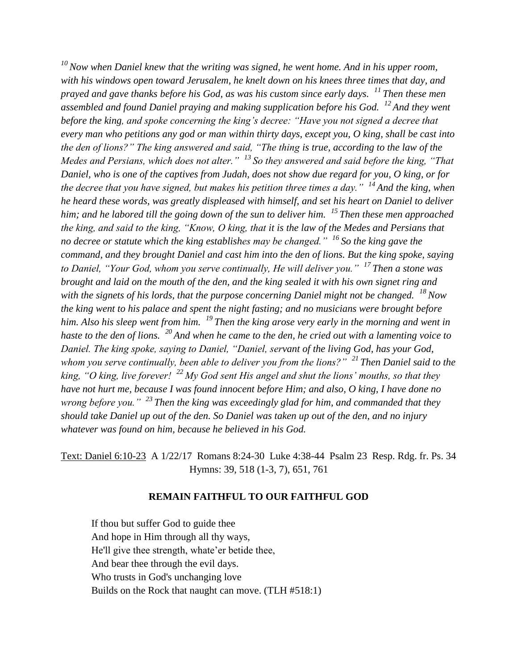*<sup>10</sup>Now when Daniel knew that the writing was signed, he went home. And in his upper room, with his windows open toward Jerusalem, he knelt down on his knees three times that day, and prayed and gave thanks before his God, as was his custom since early days. <sup>11</sup>Then these men assembled and found Daniel praying and making supplication before his God. <sup>12</sup>And they went before the king, and spoke concerning the king's decree: "Have you not signed a decree that every man who petitions any god or man within thirty days, except you, O king, shall be cast into the den of lions?" The king answered and said, "The thing is true, according to the law of the Medes and Persians, which does not alter." <sup>13</sup>So they answered and said before the king, "That Daniel, who is one of the captives from Judah, does not show due regard for you, O king, or for the decree that you have signed, but makes his petition three times a day." <sup>14</sup>And the king, when he heard these words, was greatly displeased with himself, and set his heart on Daniel to deliver him; and he labored till the going down of the sun to deliver him. <sup>15</sup>Then these men approached the king, and said to the king, "Know, O king, that it is the law of the Medes and Persians that no decree or statute which the king establishes may be changed." <sup>16</sup>So the king gave the command, and they brought Daniel and cast him into the den of lions. But the king spoke, saying to Daniel, "Your God, whom you serve continually, He will deliver you." <sup>17</sup>Then a stone was brought and laid on the mouth of the den, and the king sealed it with his own signet ring and with the signets of his lords, that the purpose concerning Daniel might not be changed. <sup>18</sup>Now the king went to his palace and spent the night fasting; and no musicians were brought before him. Also his sleep went from him. <sup>19</sup>Then the king arose very early in the morning and went in haste to the den of lions. <sup>20</sup>And when he came to the den, he cried out with a lamenting voice to Daniel. The king spoke, saying to Daniel, "Daniel, servant of the living God, has your God, whom you serve continually, been able to deliver you from the lions?" <sup>21</sup>Then Daniel said to the king, "O king, live forever! <sup>22</sup>My God sent His angel and shut the lions' mouths, so that they have not hurt me, because I was found innocent before Him; and also, O king, I have done no wrong before you." <sup>23</sup>Then the king was exceedingly glad for him, and commanded that they should take Daniel up out of the den. So Daniel was taken up out of the den, and no injury whatever was found on him, because he believed in his God.*

Text: Daniel 6:10-23 A 1/22/17 Romans 8:24-30 Luke 4:38-44 Psalm 23 Resp. Rdg. fr. Ps. 34 Hymns: 39, 518 (1-3, 7), 651, 761

## **REMAIN FAITHFUL TO OUR FAITHFUL GOD**

If thou but suffer God to guide thee And hope in Him through all thy ways, He'll give thee strength, whate'er betide thee, And bear thee through the evil days. Who trusts in God's unchanging love Builds on the Rock that naught can move. (TLH #518:1)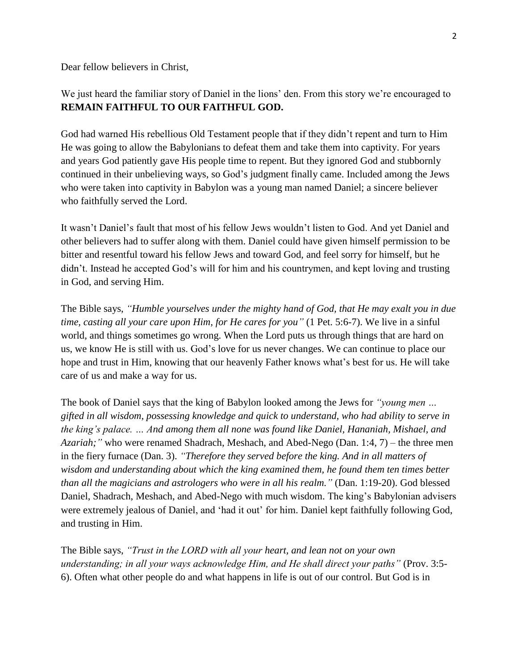Dear fellow believers in Christ,

We just heard the familiar story of Daniel in the lions' den. From this story we're encouraged to **REMAIN FAITHFUL TO OUR FAITHFUL GOD.**

God had warned His rebellious Old Testament people that if they didn't repent and turn to Him He was going to allow the Babylonians to defeat them and take them into captivity. For years and years God patiently gave His people time to repent. But they ignored God and stubbornly continued in their unbelieving ways, so God's judgment finally came. Included among the Jews who were taken into captivity in Babylon was a young man named Daniel; a sincere believer who faithfully served the Lord.

It wasn't Daniel's fault that most of his fellow Jews wouldn't listen to God. And yet Daniel and other believers had to suffer along with them. Daniel could have given himself permission to be bitter and resentful toward his fellow Jews and toward God, and feel sorry for himself, but he didn't. Instead he accepted God's will for him and his countrymen, and kept loving and trusting in God, and serving Him.

The Bible says, *"Humble yourselves under the mighty hand of God, that He may exalt you in due time, casting all your care upon Him, for He cares for you"* (1 Pet. 5:6-7). We live in a sinful world, and things sometimes go wrong. When the Lord puts us through things that are hard on us, we know He is still with us. God's love for us never changes. We can continue to place our hope and trust in Him, knowing that our heavenly Father knows what's best for us. He will take care of us and make a way for us.

The book of Daniel says that the king of Babylon looked among the Jews for *"young men … gifted in all wisdom, possessing knowledge and quick to understand, who had ability to serve in the king's palace. … And among them all none was found like Daniel, Hananiah, Mishael, and Azariah;"* who were renamed Shadrach, Meshach, and Abed-Nego (Dan. 1:4, 7) – the three men in the fiery furnace (Dan. 3). *"Therefore they served before the king. And in all matters of wisdom and understanding about which the king examined them, he found them ten times better than all the magicians and astrologers who were in all his realm."* (Dan. 1:19-20). God blessed Daniel, Shadrach, Meshach, and Abed-Nego with much wisdom. The king's Babylonian advisers were extremely jealous of Daniel, and 'had it out' for him. Daniel kept faithfully following God, and trusting in Him.

The Bible says, *"Trust in the LORD with all your heart, and lean not on your own understanding; in all your ways acknowledge Him, and He shall direct your paths"* (Prov. 3:5- 6). Often what other people do and what happens in life is out of our control. But God is in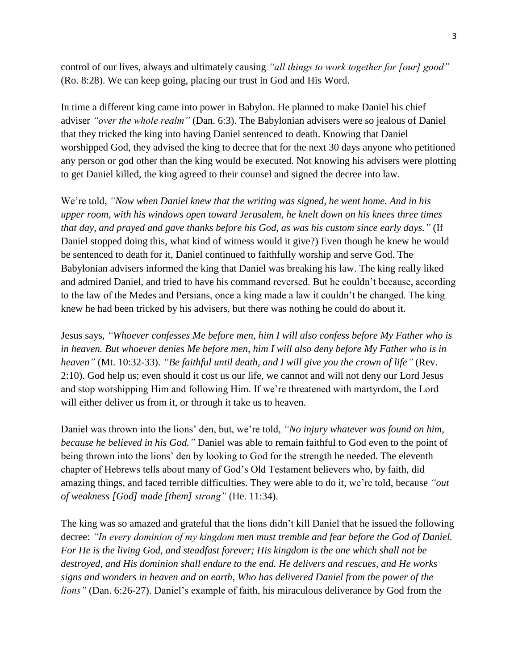control of our lives, always and ultimately causing *"all things to work together for [our] good"* (Ro. 8:28). We can keep going, placing our trust in God and His Word.

In time a different king came into power in Babylon. He planned to make Daniel his chief adviser *"over the whole realm"* (Dan. 6:3). The Babylonian advisers were so jealous of Daniel that they tricked the king into having Daniel sentenced to death. Knowing that Daniel worshipped God, they advised the king to decree that for the next 30 days anyone who petitioned any person or god other than the king would be executed. Not knowing his advisers were plotting to get Daniel killed, the king agreed to their counsel and signed the decree into law.

We're told, *"Now when Daniel knew that the writing was signed, he went home. And in his upper room, with his windows open toward Jerusalem, he knelt down on his knees three times that day, and prayed and gave thanks before his God, as was his custom since early days."* (If Daniel stopped doing this, what kind of witness would it give?) Even though he knew he would be sentenced to death for it, Daniel continued to faithfully worship and serve God. The Babylonian advisers informed the king that Daniel was breaking his law. The king really liked and admired Daniel, and tried to have his command reversed. But he couldn't because, according to the law of the Medes and Persians, once a king made a law it couldn't be changed. The king knew he had been tricked by his advisers, but there was nothing he could do about it.

Jesus says, *"Whoever confesses Me before men, him I will also confess before My Father who is in heaven. But whoever denies Me before men, him I will also deny before My Father who is in heaven"* (Mt. 10:32-33). *"Be faithful until death, and I will give you the crown of life"* (Rev. 2:10). God help us; even should it cost us our life, we cannot and will not deny our Lord Jesus and stop worshipping Him and following Him. If we're threatened with martyrdom, the Lord will either deliver us from it, or through it take us to heaven.

Daniel was thrown into the lions' den, but, we're told, *"No injury whatever was found on him, because he believed in his God."* Daniel was able to remain faithful to God even to the point of being thrown into the lions' den by looking to God for the strength he needed. The eleventh chapter of Hebrews tells about many of God's Old Testament believers who, by faith, did amazing things, and faced terrible difficulties. They were able to do it, we're told, because *"out of weakness [God] made [them] strong"* (He. 11:34).

The king was so amazed and grateful that the lions didn't kill Daniel that he issued the following decree: *"In every dominion of my kingdom men must tremble and fear before the God of Daniel. For He is the living God, and steadfast forever; His kingdom is the one which shall not be destroyed, and His dominion shall endure to the end. He delivers and rescues, and He works signs and wonders in heaven and on earth, Who has delivered Daniel from the power of the lions"* (Dan. 6:26-27). Daniel's example of faith, his miraculous deliverance by God from the